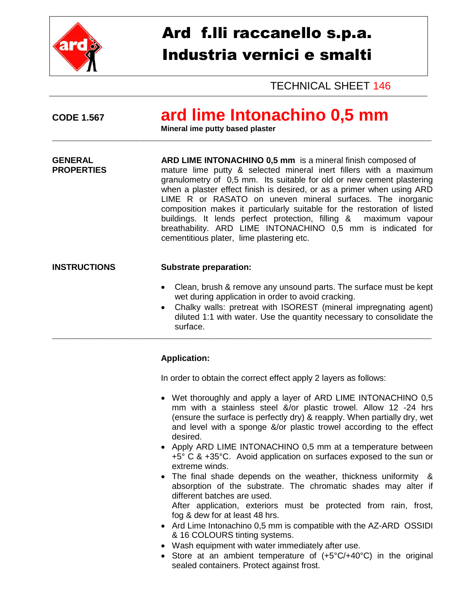

## Ard f.lli raccanello s.p.a. Industria vernici e smalti

TECHNICAL SHEET 146

## **CODE 1.567 ard lime Intonachino 0,5 mm**

**Mineral ime putty based plaster** 

**GENERAL ARD LIME INTONACHINO 0,5 mm** is a mineral finish composed of mature lime putty & selected mineral inert fillers with a maximum granulometry of 0,5 mm. Its suitable for old or new cement plastering when a plaster effect finish is desired, or as a primer when using ARD LIME R or RASATO on uneven mineral surfaces. The inorganic composition makes it particularly suitable for the restoration of listed buildings. It lends perfect protection, filling & maximum vapour breathability. ARD LIME INTONACHINO 0,5 mm is indicated for cementitious plater, lime plastering etc.

\_\_\_\_\_\_\_\_\_\_\_\_\_\_\_\_\_\_\_\_\_\_\_\_\_\_\_\_\_\_\_\_\_\_\_\_\_\_\_\_\_\_\_\_\_\_\_\_\_\_\_\_\_\_\_\_\_\_\_\_\_\_\_\_\_\_\_\_\_\_\_\_\_\_\_\_\_\_\_\_\_\_\_\_\_\_\_\_\_\_\_\_\_\_\_\_\_\_\_

\_\_\_\_\_\_\_\_\_\_\_\_\_\_\_\_\_\_\_\_\_\_\_\_\_\_\_\_\_\_\_\_\_\_\_\_\_\_\_\_\_\_\_\_\_\_\_\_\_\_\_\_\_\_\_\_\_\_\_\_\_\_\_\_\_\_\_\_\_\_\_\_\_\_\_\_\_\_\_\_\_\_\_\_\_\_\_\_\_\_\_\_\_\_\_\_\_\_\_

## **INSTRUCTIONS Substrate preparation:**

- Clean, brush & remove any unsound parts. The surface must be kept wet during application in order to avoid cracking.
- Chalky walls: pretreat with ISOREST (mineral impregnating agent) diluted 1:1 with water. Use the quantity necessary to consolidate the surface.

## **Application:**

In order to obtain the correct effect apply 2 layers as follows:

- Wet thoroughly and apply a layer of ARD LIME INTONACHINO 0,5 mm with a stainless steel &/or plastic trowel. Allow 12 -24 hrs (ensure the surface is perfectly dry) & reapply. When partially dry, wet and level with a sponge &/or plastic trowel according to the effect desired.
- Apply ARD LIME INTONACHINO 0.5 mm at a temperature between +5° C & +35°C. Avoid application on surfaces exposed to the sun or extreme winds.
- The final shade depends on the weather, thickness uniformity & absorption of the substrate. The chromatic shades may alter if different batches are used.

After application, exteriors must be protected from rain, frost, fog & dew for at least 48 hrs.

- Ard Lime Intonachino 0,5 mm is compatible with the AZ-ARD OSSIDI & 16 COLOURS tinting systems.
- Wash equipment with water immediately after use.
- Store at an ambient temperature of (+5°C/+40°C) in the original sealed containers. Protect against frost.